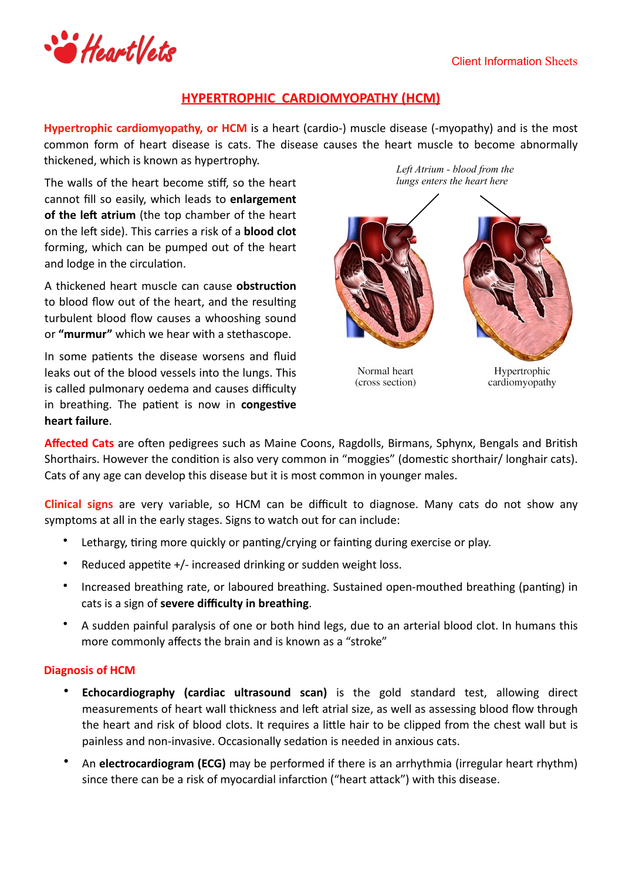## Client Information Sheets



# **HYPERTROPHIC CARDIOMYOPATHY (HCM)**

**Hypertrophic cardiomyopathy, or HCM** is a heart (cardio-) muscle disease (-myopathy) and is the most common form of heart disease is cats. The disease causes the heart muscle to become abnormally thickened, which is known as hypertrophy.

The walls of the heart become stiff, so the heart cannot fill so easily, which leads to enlargement **of the left atrium** (the top chamber of the heart on the left side). This carries a risk of a **blood clot** forming, which can be pumped out of the heart and lodge in the circulation.

A thickened heart muscle can cause **obstruction** to blood flow out of the heart, and the resulting turbulent blood flow causes a whooshing sound or "murmur" which we hear with a stethascope.

In some patients the disease worsens and fluid leaks out of the blood vessels into the lungs. This is called pulmonary oedema and causes difficulty in breathing. The patient is now in congestive **heart failure**. 

*Left Atrium - blood from the lungs enters the heart here*

Normal heart (cross section)

Hypertrophic cardiomyopathy

Affected Cats are often pedigrees such as Maine Coons, Ragdolls, Birmans, Sphynx, Bengals and British Shorthairs. However the condition is also very common in "moggies" (domestic shorthair/ longhair cats). Cats of any age can develop this disease but it is most common in younger males.

**Clinical signs** are very variable, so HCM can be difficult to diagnose. Many cats do not show any symptoms at all in the early stages. Signs to watch out for can include:

- Lethargy, tiring more quickly or panting/crying or fainting during exercise or play.
- Reduced appetite  $+/-$  increased drinking or sudden weight loss.
- Increased breathing rate, or laboured breathing. Sustained open-mouthed breathing (panting) in cats is a sign of **severe difficulty in breathing**.
- A sudden painful paralysis of one or both hind legs, due to an arterial blood clot. In humans this more commonly affects the brain and is known as a "stroke"

## **Diagnosis of HCM**

- **Echocardiography (cardiac ultrasound scan)** is the gold standard test, allowing direct measurements of heart wall thickness and left atrial size, as well as assessing blood flow through the heart and risk of blood clots. It requires a little hair to be clipped from the chest wall but is painless and non-invasive. Occasionally sedation is needed in anxious cats.
- An **electrocardiogram (ECG)** may be performed if there is an arrhythmia (irregular heart rhythm) since there can be a risk of myocardial infarction ("heart attack") with this disease.